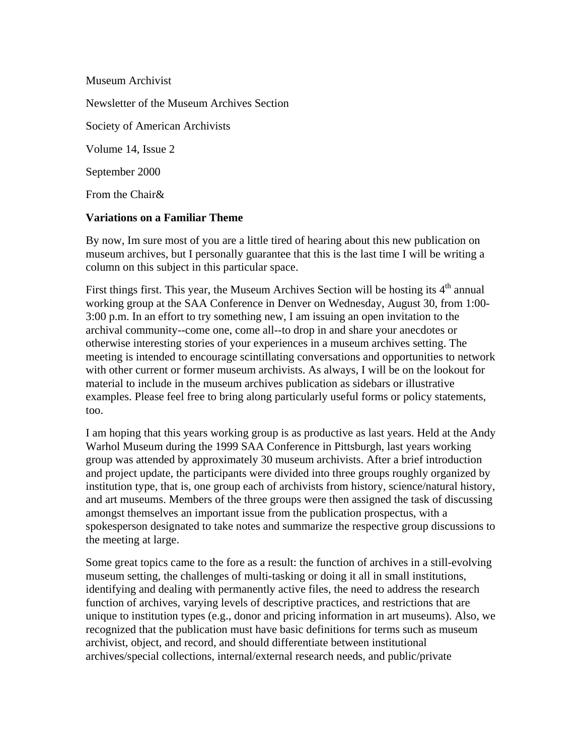Museum Archivist Newsletter of the Museum Archives Section Society of American Archivists Volume 14, Issue 2 September 2000 From the Chair&

## **Variations on a Familiar Theme**

By now, Im sure most of you are a little tired of hearing about this new publication on museum archives, but I personally guarantee that this is the last time I will be writing a column on this subject in this particular space.

First things first. This year, the Museum Archives Section will be hosting its  $4<sup>th</sup>$  annual working group at the SAA Conference in Denver on Wednesday, August 30, from 1:00- 3:00 p.m. In an effort to try something new, I am issuing an open invitation to the archival community--come one, come all--to drop in and share your anecdotes or otherwise interesting stories of your experiences in a museum archives setting. The meeting is intended to encourage scintillating conversations and opportunities to network with other current or former museum archivists. As always, I will be on the lookout for material to include in the museum archives publication as sidebars or illustrative examples. Please feel free to bring along particularly useful forms or policy statements, too.

I am hoping that this years working group is as productive as last years. Held at the Andy Warhol Museum during the 1999 SAA Conference in Pittsburgh, last years working group was attended by approximately 30 museum archivists. After a brief introduction and project update, the participants were divided into three groups roughly organized by institution type, that is, one group each of archivists from history, science/natural history, and art museums. Members of the three groups were then assigned the task of discussing amongst themselves an important issue from the publication prospectus, with a spokesperson designated to take notes and summarize the respective group discussions to the meeting at large.

Some great topics came to the fore as a result: the function of archives in a still-evolving museum setting, the challenges of multi-tasking or doing it all in small institutions, identifying and dealing with permanently active files, the need to address the research function of archives, varying levels of descriptive practices, and restrictions that are unique to institution types (e.g., donor and pricing information in art museums). Also, we recognized that the publication must have basic definitions for terms such as museum archivist, object, and record, and should differentiate between institutional archives/special collections, internal/external research needs, and public/private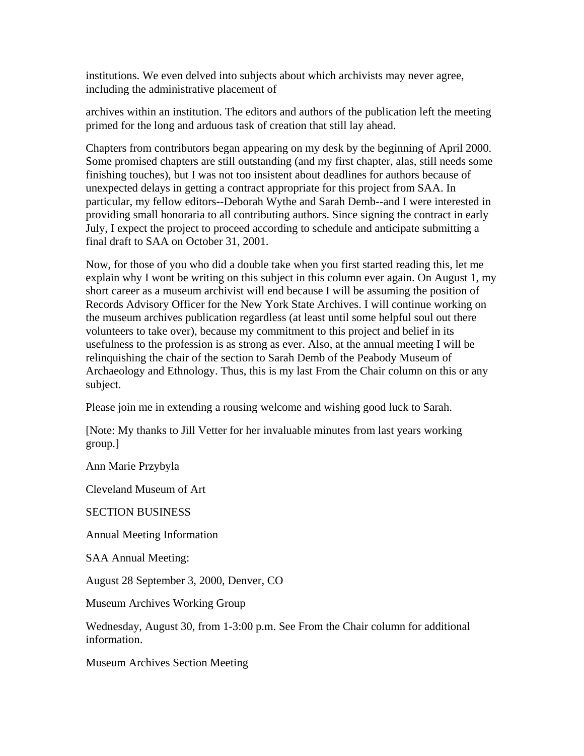institutions. We even delved into subjects about which archivists may never agree, including the administrative placement of

archives within an institution. The editors and authors of the publication left the meeting primed for the long and arduous task of creation that still lay ahead.

Chapters from contributors began appearing on my desk by the beginning of April 2000. Some promised chapters are still outstanding (and my first chapter, alas, still needs some finishing touches), but I was not too insistent about deadlines for authors because of unexpected delays in getting a contract appropriate for this project from SAA. In particular, my fellow editors--Deborah Wythe and Sarah Demb--and I were interested in providing small honoraria to all contributing authors. Since signing the contract in early July, I expect the project to proceed according to schedule and anticipate submitting a final draft to SAA on October 31, 2001.

Now, for those of you who did a double take when you first started reading this, let me explain why I wont be writing on this subject in this column ever again. On August 1, my short career as a museum archivist will end because I will be assuming the position of Records Advisory Officer for the New York State Archives. I will continue working on the museum archives publication regardless (at least until some helpful soul out there volunteers to take over), because my commitment to this project and belief in its usefulness to the profession is as strong as ever. Also, at the annual meeting I will be relinquishing the chair of the section to Sarah Demb of the Peabody Museum of Archaeology and Ethnology. Thus, this is my last From the Chair column on this or any subject.

Please join me in extending a rousing welcome and wishing good luck to Sarah.

[Note: My thanks to Jill Vetter for her invaluable minutes from last years working group.]

Ann Marie Przybyla

Cleveland Museum of Art

SECTION BUSINESS

Annual Meeting Information

SAA Annual Meeting:

August 28 September 3, 2000, Denver, CO

Museum Archives Working Group

Wednesday, August 30, from 1-3:00 p.m. See From the Chair column for additional information.

Museum Archives Section Meeting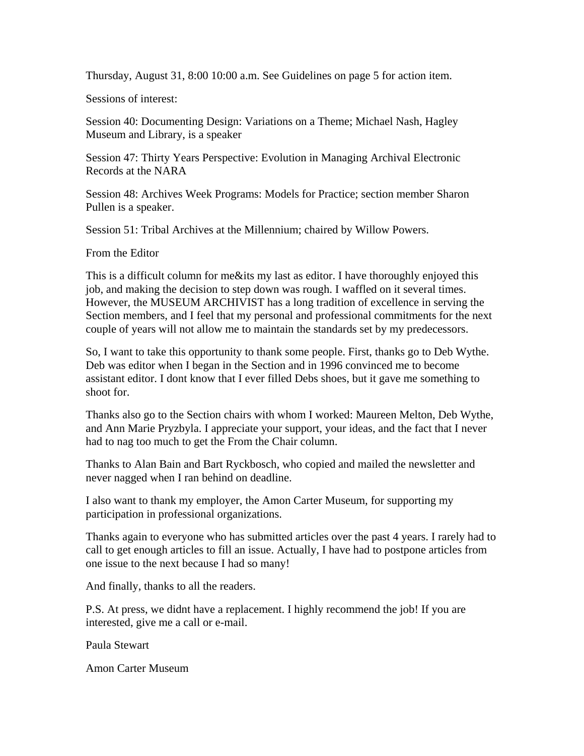Thursday, August 31, 8:00 10:00 a.m. See Guidelines on page 5 for action item.

Sessions of interest:

Session 40: Documenting Design: Variations on a Theme; Michael Nash, Hagley Museum and Library, is a speaker

Session 47: Thirty Years Perspective: Evolution in Managing Archival Electronic Records at the NARA

Session 48: Archives Week Programs: Models for Practice; section member Sharon Pullen is a speaker.

Session 51: Tribal Archives at the Millennium; chaired by Willow Powers.

From the Editor

This is a difficult column for me&its my last as editor. I have thoroughly enjoyed this job, and making the decision to step down was rough. I waffled on it several times. However, the MUSEUM ARCHIVIST has a long tradition of excellence in serving the Section members, and I feel that my personal and professional commitments for the next couple of years will not allow me to maintain the standards set by my predecessors.

So, I want to take this opportunity to thank some people. First, thanks go to Deb Wythe. Deb was editor when I began in the Section and in 1996 convinced me to become assistant editor. I dont know that I ever filled Debs shoes, but it gave me something to shoot for.

Thanks also go to the Section chairs with whom I worked: Maureen Melton, Deb Wythe, and Ann Marie Pryzbyla. I appreciate your support, your ideas, and the fact that I never had to nag too much to get the From the Chair column.

Thanks to Alan Bain and Bart Ryckbosch, who copied and mailed the newsletter and never nagged when I ran behind on deadline.

I also want to thank my employer, the Amon Carter Museum, for supporting my participation in professional organizations.

Thanks again to everyone who has submitted articles over the past 4 years. I rarely had to call to get enough articles to fill an issue. Actually, I have had to postpone articles from one issue to the next because I had so many!

And finally, thanks to all the readers.

P.S. At press, we didnt have a replacement. I highly recommend the job! If you are interested, give me a call or e-mail.

Paula Stewart

Amon Carter Museum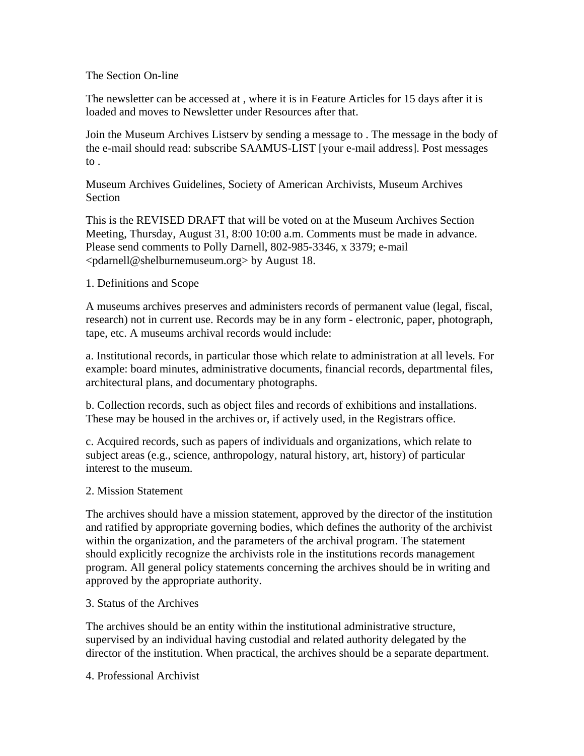## The Section On-line

The newsletter can be accessed at , where it is in Feature Articles for 15 days after it is loaded and moves to Newsletter under Resources after that.

Join the Museum Archives Listserv by sending a message to . The message in the body of the e-mail should read: subscribe SAAMUS-LIST [your e-mail address]. Post messages to .

Museum Archives Guidelines, Society of American Archivists, Museum Archives Section

This is the REVISED DRAFT that will be voted on at the Museum Archives Section Meeting, Thursday, August 31, 8:00 10:00 a.m. Comments must be made in advance. Please send comments to Polly Darnell, 802-985-3346, x 3379; e-mail <pdarnell@shelburnemuseum.org> by August 18.

# 1. Definitions and Scope

A museums archives preserves and administers records of permanent value (legal, fiscal, research) not in current use. Records may be in any form - electronic, paper, photograph, tape, etc. A museums archival records would include:

a. Institutional records, in particular those which relate to administration at all levels. For example: board minutes, administrative documents, financial records, departmental files, architectural plans, and documentary photographs.

b. Collection records, such as object files and records of exhibitions and installations. These may be housed in the archives or, if actively used, in the Registrars office.

c. Acquired records, such as papers of individuals and organizations, which relate to subject areas (e.g., science, anthropology, natural history, art, history) of particular interest to the museum.

# 2. Mission Statement

The archives should have a mission statement, approved by the director of the institution and ratified by appropriate governing bodies, which defines the authority of the archivist within the organization, and the parameters of the archival program. The statement should explicitly recognize the archivists role in the institutions records management program. All general policy statements concerning the archives should be in writing and approved by the appropriate authority.

# 3. Status of the Archives

The archives should be an entity within the institutional administrative structure, supervised by an individual having custodial and related authority delegated by the director of the institution. When practical, the archives should be a separate department.

4. Professional Archivist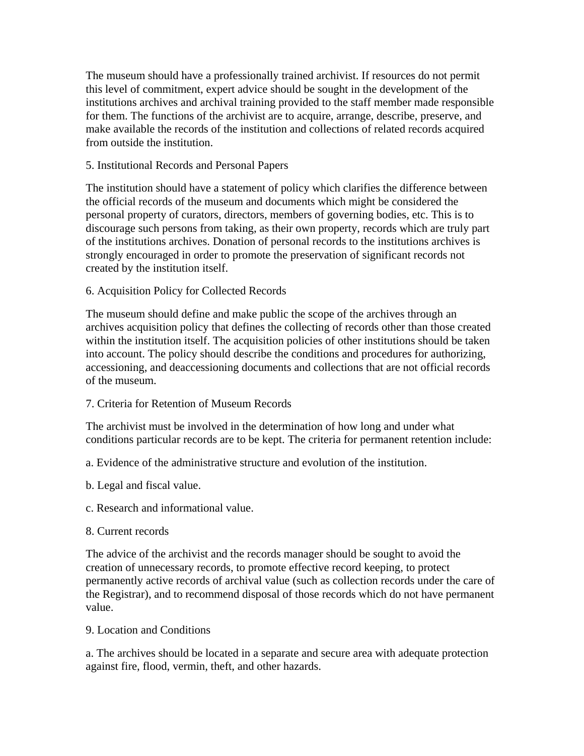The museum should have a professionally trained archivist. If resources do not permit this level of commitment, expert advice should be sought in the development of the institutions archives and archival training provided to the staff member made responsible for them. The functions of the archivist are to acquire, arrange, describe, preserve, and make available the records of the institution and collections of related records acquired from outside the institution.

## 5. Institutional Records and Personal Papers

The institution should have a statement of policy which clarifies the difference between the official records of the museum and documents which might be considered the personal property of curators, directors, members of governing bodies, etc. This is to discourage such persons from taking, as their own property, records which are truly part of the institutions archives. Donation of personal records to the institutions archives is strongly encouraged in order to promote the preservation of significant records not created by the institution itself.

## 6. Acquisition Policy for Collected Records

The museum should define and make public the scope of the archives through an archives acquisition policy that defines the collecting of records other than those created within the institution itself. The acquisition policies of other institutions should be taken into account. The policy should describe the conditions and procedures for authorizing, accessioning, and deaccessioning documents and collections that are not official records of the museum.

#### 7. Criteria for Retention of Museum Records

The archivist must be involved in the determination of how long and under what conditions particular records are to be kept. The criteria for permanent retention include:

- a. Evidence of the administrative structure and evolution of the institution.
- b. Legal and fiscal value.
- c. Research and informational value.
- 8. Current records

The advice of the archivist and the records manager should be sought to avoid the creation of unnecessary records, to promote effective record keeping, to protect permanently active records of archival value (such as collection records under the care of the Registrar), and to recommend disposal of those records which do not have permanent value.

#### 9. Location and Conditions

a. The archives should be located in a separate and secure area with adequate protection against fire, flood, vermin, theft, and other hazards.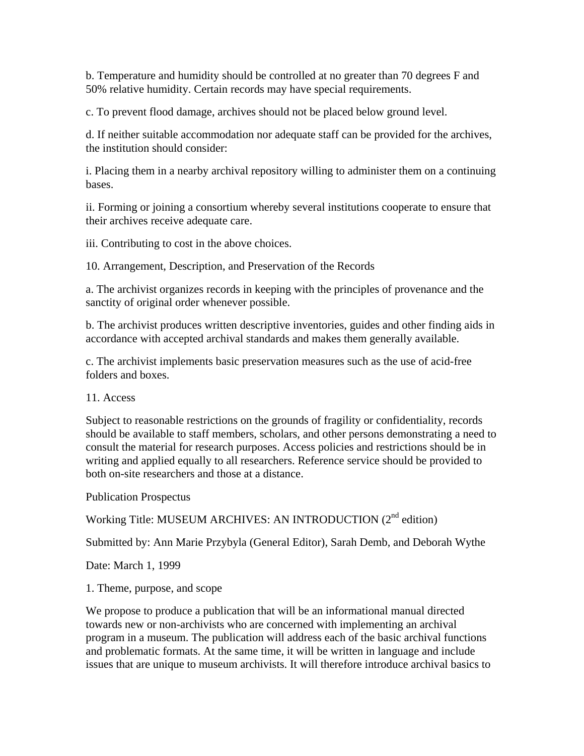b. Temperature and humidity should be controlled at no greater than 70 degrees F and 50% relative humidity. Certain records may have special requirements.

c. To prevent flood damage, archives should not be placed below ground level.

d. If neither suitable accommodation nor adequate staff can be provided for the archives, the institution should consider:

i. Placing them in a nearby archival repository willing to administer them on a continuing bases.

ii. Forming or joining a consortium whereby several institutions cooperate to ensure that their archives receive adequate care.

iii. Contributing to cost in the above choices.

10. Arrangement, Description, and Preservation of the Records

a. The archivist organizes records in keeping with the principles of provenance and the sanctity of original order whenever possible.

b. The archivist produces written descriptive inventories, guides and other finding aids in accordance with accepted archival standards and makes them generally available.

c. The archivist implements basic preservation measures such as the use of acid-free folders and boxes.

11. Access

Subject to reasonable restrictions on the grounds of fragility or confidentiality, records should be available to staff members, scholars, and other persons demonstrating a need to consult the material for research purposes. Access policies and restrictions should be in writing and applied equally to all researchers. Reference service should be provided to both on-site researchers and those at a distance.

Publication Prospectus

Working Title: MUSEUM ARCHIVES: AN INTRODUCTION (2nd edition)

Submitted by: Ann Marie Przybyla (General Editor), Sarah Demb, and Deborah Wythe

Date: March 1, 1999

1. Theme, purpose, and scope

We propose to produce a publication that will be an informational manual directed towards new or non-archivists who are concerned with implementing an archival program in a museum. The publication will address each of the basic archival functions and problematic formats. At the same time, it will be written in language and include issues that are unique to museum archivists. It will therefore introduce archival basics to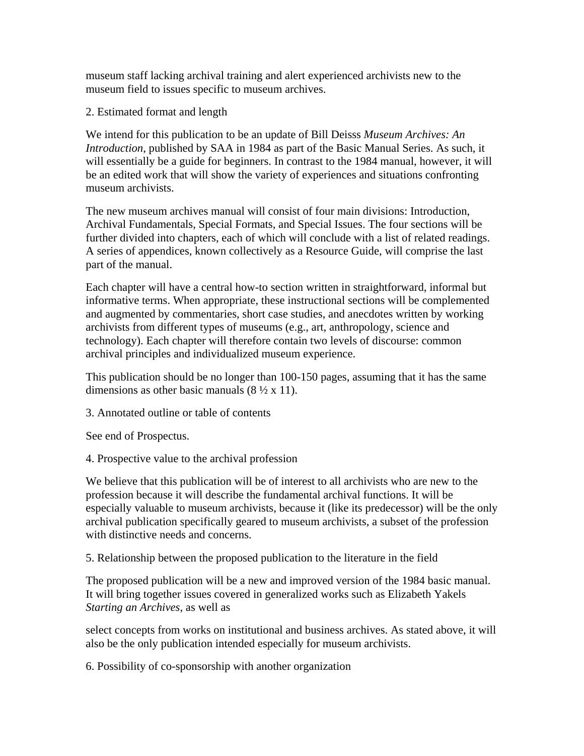museum staff lacking archival training and alert experienced archivists new to the museum field to issues specific to museum archives.

2. Estimated format and length

We intend for this publication to be an update of Bill Deisss *Museum Archives: An Introduction*, published by SAA in 1984 as part of the Basic Manual Series. As such, it will essentially be a guide for beginners. In contrast to the 1984 manual, however, it will be an edited work that will show the variety of experiences and situations confronting museum archivists.

The new museum archives manual will consist of four main divisions: Introduction, Archival Fundamentals, Special Formats, and Special Issues. The four sections will be further divided into chapters, each of which will conclude with a list of related readings. A series of appendices, known collectively as a Resource Guide, will comprise the last part of the manual.

Each chapter will have a central how-to section written in straightforward, informal but informative terms. When appropriate, these instructional sections will be complemented and augmented by commentaries, short case studies, and anecdotes written by working archivists from different types of museums (e.g., art, anthropology, science and technology). Each chapter will therefore contain two levels of discourse: common archival principles and individualized museum experience.

This publication should be no longer than 100-150 pages, assuming that it has the same dimensions as other basic manuals  $(8 \frac{1}{2} \times 11)$ .

3. Annotated outline or table of contents

See end of Prospectus.

4. Prospective value to the archival profession

We believe that this publication will be of interest to all archivists who are new to the profession because it will describe the fundamental archival functions. It will be especially valuable to museum archivists, because it (like its predecessor) will be the only archival publication specifically geared to museum archivists, a subset of the profession with distinctive needs and concerns.

5. Relationship between the proposed publication to the literature in the field

The proposed publication will be a new and improved version of the 1984 basic manual. It will bring together issues covered in generalized works such as Elizabeth Yakels *Starting an Archives*, as well as

select concepts from works on institutional and business archives. As stated above, it will also be the only publication intended especially for museum archivists.

6. Possibility of co-sponsorship with another organization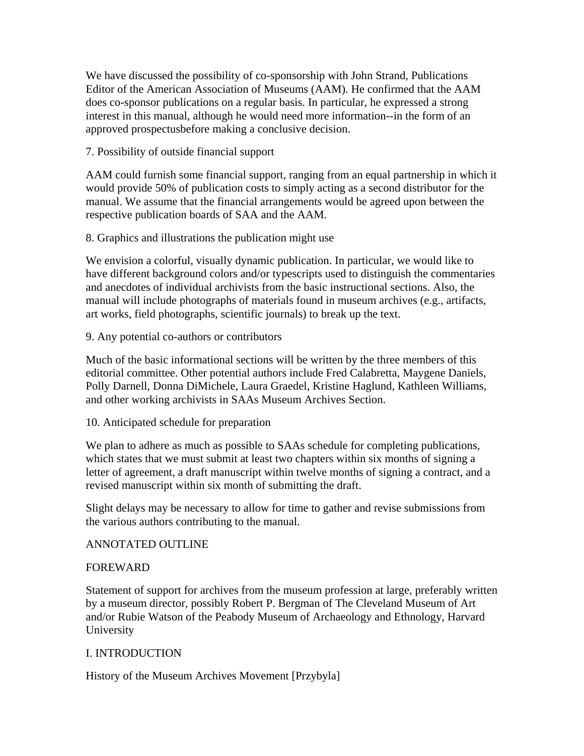We have discussed the possibility of co-sponsorship with John Strand, Publications Editor of the American Association of Museums (AAM). He confirmed that the AAM does co-sponsor publications on a regular basis. In particular, he expressed a strong interest in this manual, although he would need more information--in the form of an approved prospectusbefore making a conclusive decision.

7. Possibility of outside financial support

AAM could furnish some financial support, ranging from an equal partnership in which it would provide 50% of publication costs to simply acting as a second distributor for the manual. We assume that the financial arrangements would be agreed upon between the respective publication boards of SAA and the AAM.

8. Graphics and illustrations the publication might use

We envision a colorful, visually dynamic publication. In particular, we would like to have different background colors and/or typescripts used to distinguish the commentaries and anecdotes of individual archivists from the basic instructional sections. Also, the manual will include photographs of materials found in museum archives (e.g., artifacts, art works, field photographs, scientific journals) to break up the text.

9. Any potential co-authors or contributors

Much of the basic informational sections will be written by the three members of this editorial committee. Other potential authors include Fred Calabretta, Maygene Daniels, Polly Darnell, Donna DiMichele, Laura Graedel, Kristine Haglund, Kathleen Williams, and other working archivists in SAAs Museum Archives Section.

10. Anticipated schedule for preparation

We plan to adhere as much as possible to SAAs schedule for completing publications, which states that we must submit at least two chapters within six months of signing a letter of agreement, a draft manuscript within twelve months of signing a contract, and a revised manuscript within six month of submitting the draft.

Slight delays may be necessary to allow for time to gather and revise submissions from the various authors contributing to the manual.

# ANNOTATED OUTLINE

# FOREWARD

Statement of support for archives from the museum profession at large, preferably written by a museum director, possibly Robert P. Bergman of The Cleveland Museum of Art and/or Rubie Watson of the Peabody Museum of Archaeology and Ethnology, Harvard University

# I. INTRODUCTION

History of the Museum Archives Movement [Przybyla]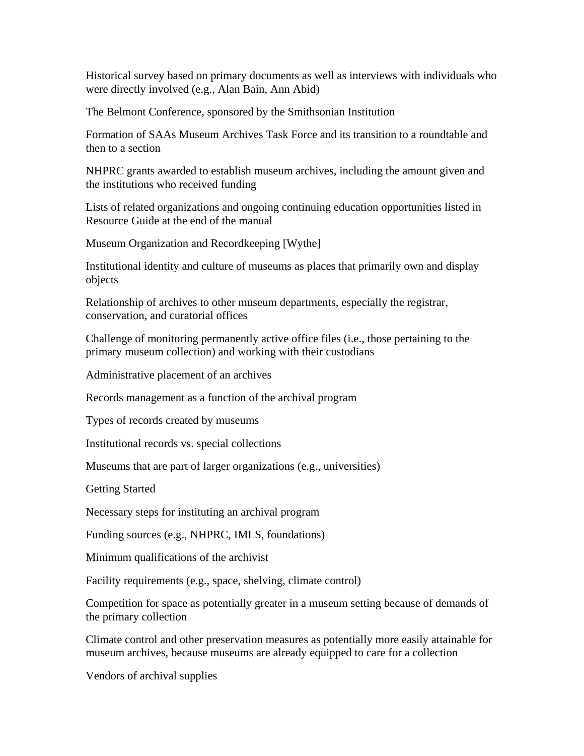Historical survey based on primary documents as well as interviews with individuals who were directly involved (e.g., Alan Bain, Ann Abid)

The Belmont Conference, sponsored by the Smithsonian Institution

Formation of SAAs Museum Archives Task Force and its transition to a roundtable and then to a section

NHPRC grants awarded to establish museum archives, including the amount given and the institutions who received funding

Lists of related organizations and ongoing continuing education opportunities listed in Resource Guide at the end of the manual

Museum Organization and Recordkeeping [Wythe]

Institutional identity and culture of museums as places that primarily own and display objects

Relationship of archives to other museum departments, especially the registrar, conservation, and curatorial offices

Challenge of monitoring permanently active office files (i.e., those pertaining to the primary museum collection) and working with their custodians

Administrative placement of an archives

Records management as a function of the archival program

Types of records created by museums

Institutional records vs. special collections

Museums that are part of larger organizations (e.g., universities)

Getting Started

Necessary steps for instituting an archival program

Funding sources (e.g., NHPRC, IMLS, foundations)

Minimum qualifications of the archivist

Facility requirements (e.g., space, shelving, climate control)

Competition for space as potentially greater in a museum setting because of demands of the primary collection

Climate control and other preservation measures as potentially more easily attainable for museum archives, because museums are already equipped to care for a collection

Vendors of archival supplies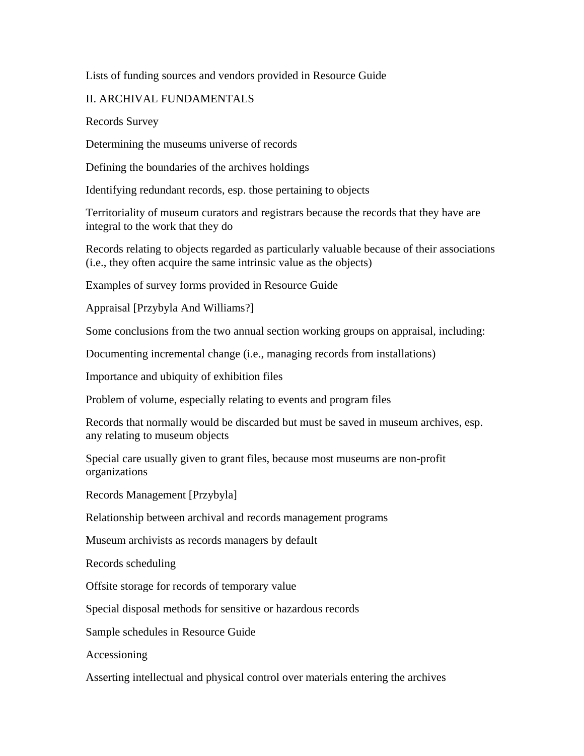### Lists of funding sources and vendors provided in Resource Guide

## II. ARCHIVAL FUNDAMENTALS

Records Survey

Determining the museums universe of records

Defining the boundaries of the archives holdings

Identifying redundant records, esp. those pertaining to objects

Territoriality of museum curators and registrars because the records that they have are integral to the work that they do

Records relating to objects regarded as particularly valuable because of their associations (i.e., they often acquire the same intrinsic value as the objects)

Examples of survey forms provided in Resource Guide

Appraisal [Przybyla And Williams?]

Some conclusions from the two annual section working groups on appraisal, including:

Documenting incremental change (i.e., managing records from installations)

Importance and ubiquity of exhibition files

Problem of volume, especially relating to events and program files

Records that normally would be discarded but must be saved in museum archives, esp. any relating to museum objects

Special care usually given to grant files, because most museums are non-profit organizations

Records Management [Przybyla]

Relationship between archival and records management programs

Museum archivists as records managers by default

Records scheduling

Offsite storage for records of temporary value

Special disposal methods for sensitive or hazardous records

Sample schedules in Resource Guide

Accessioning

Asserting intellectual and physical control over materials entering the archives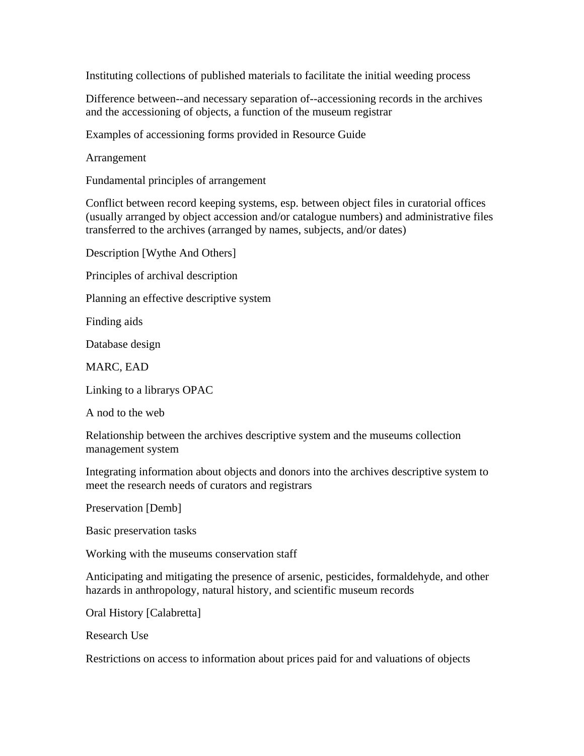Instituting collections of published materials to facilitate the initial weeding process

Difference between--and necessary separation of--accessioning records in the archives and the accessioning of objects, a function of the museum registrar

Examples of accessioning forms provided in Resource Guide

Arrangement

Fundamental principles of arrangement

Conflict between record keeping systems, esp. between object files in curatorial offices (usually arranged by object accession and/or catalogue numbers) and administrative files transferred to the archives (arranged by names, subjects, and/or dates)

Description [Wythe And Others]

Principles of archival description

Planning an effective descriptive system

Finding aids

Database design

MARC, EAD

Linking to a librarys OPAC

A nod to the web

Relationship between the archives descriptive system and the museums collection management system

Integrating information about objects and donors into the archives descriptive system to meet the research needs of curators and registrars

Preservation [Demb]

Basic preservation tasks

Working with the museums conservation staff

Anticipating and mitigating the presence of arsenic, pesticides, formaldehyde, and other hazards in anthropology, natural history, and scientific museum records

Oral History [Calabretta]

Research Use

Restrictions on access to information about prices paid for and valuations of objects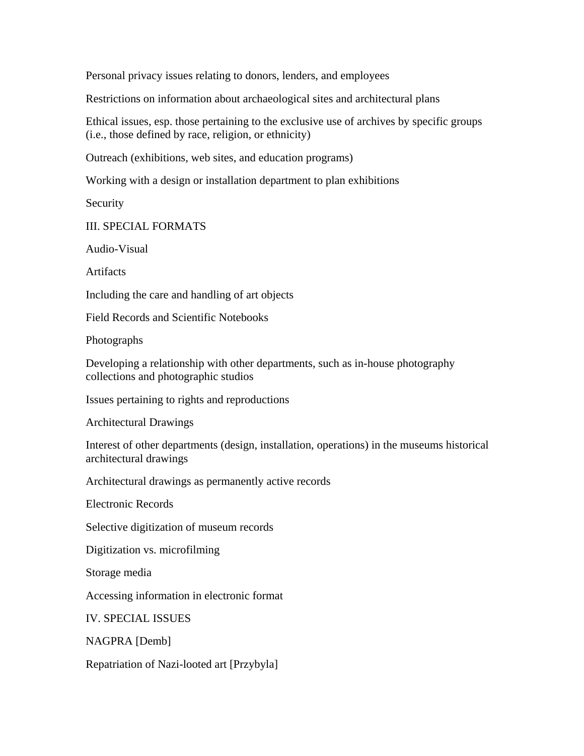Personal privacy issues relating to donors, lenders, and employees

Restrictions on information about archaeological sites and architectural plans

Ethical issues, esp. those pertaining to the exclusive use of archives by specific groups (i.e., those defined by race, religion, or ethnicity)

Outreach (exhibitions, web sites, and education programs)

Working with a design or installation department to plan exhibitions

Security

III. SPECIAL FORMATS

Audio-Visual

Artifacts

Including the care and handling of art objects

Field Records and Scientific Notebooks

Photographs

Developing a relationship with other departments, such as in-house photography collections and photographic studios

Issues pertaining to rights and reproductions

Architectural Drawings

Interest of other departments (design, installation, operations) in the museums historical architectural drawings

Architectural drawings as permanently active records

Electronic Records

Selective digitization of museum records

Digitization vs. microfilming

Storage media

Accessing information in electronic format

IV. SPECIAL ISSUES

NAGPRA [Demb]

Repatriation of Nazi-looted art [Przybyla]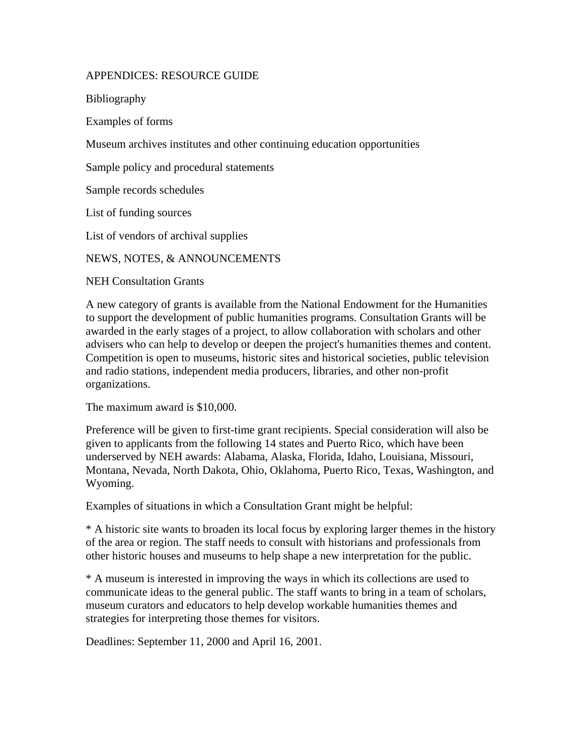## APPENDICES: RESOURCE GUIDE

Bibliography

Examples of forms

Museum archives institutes and other continuing education opportunities

Sample policy and procedural statements

Sample records schedules

List of funding sources

List of vendors of archival supplies

NEWS, NOTES, & ANNOUNCEMENTS

NEH Consultation Grants

A new category of grants is available from the National Endowment for the Humanities to support the development of public humanities programs. Consultation Grants will be awarded in the early stages of a project, to allow collaboration with scholars and other advisers who can help to develop or deepen the project's humanities themes and content. Competition is open to museums, historic sites and historical societies, public television and radio stations, independent media producers, libraries, and other non-profit organizations.

The maximum award is \$10,000.

Preference will be given to first-time grant recipients. Special consideration will also be given to applicants from the following 14 states and Puerto Rico, which have been underserved by NEH awards: Alabama, Alaska, Florida, Idaho, Louisiana, Missouri, Montana, Nevada, North Dakota, Ohio, Oklahoma, Puerto Rico, Texas, Washington, and Wyoming.

Examples of situations in which a Consultation Grant might be helpful:

\* A historic site wants to broaden its local focus by exploring larger themes in the history of the area or region. The staff needs to consult with historians and professionals from other historic houses and museums to help shape a new interpretation for the public.

\* A museum is interested in improving the ways in which its collections are used to communicate ideas to the general public. The staff wants to bring in a team of scholars, museum curators and educators to help develop workable humanities themes and strategies for interpreting those themes for visitors.

Deadlines: September 11, 2000 and April 16, 2001.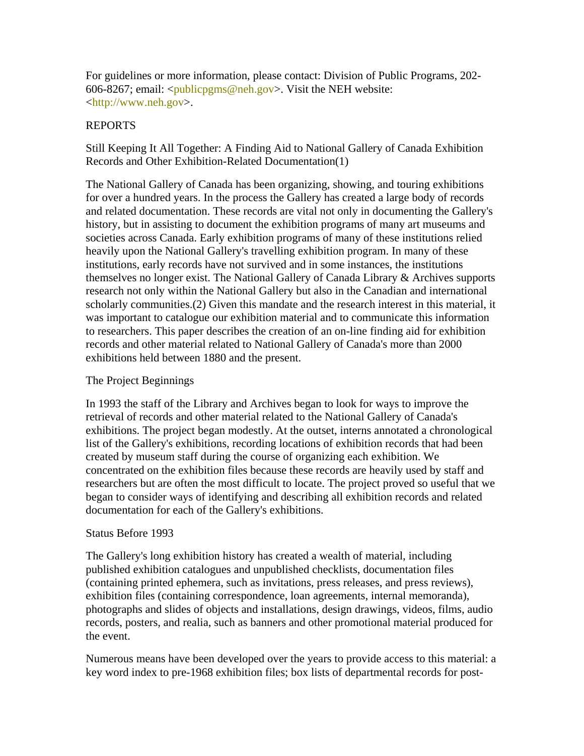For guidelines or more information, please contact: Division of Public Programs, 202- 606-8267; email: <publicpgms@neh.gov>. Visit the NEH website: <http://www.neh.gov>.

### REPORTS

Still Keeping It All Together: A Finding Aid to National Gallery of Canada Exhibition Records and Other Exhibition-Related Documentation(1)

The National Gallery of Canada has been organizing, showing, and touring exhibitions for over a hundred years. In the process the Gallery has created a large body of records and related documentation. These records are vital not only in documenting the Gallery's history, but in assisting to document the exhibition programs of many art museums and societies across Canada. Early exhibition programs of many of these institutions relied heavily upon the National Gallery's travelling exhibition program. In many of these institutions, early records have not survived and in some instances, the institutions themselves no longer exist. The National Gallery of Canada Library & Archives supports research not only within the National Gallery but also in the Canadian and international scholarly communities.(2) Given this mandate and the research interest in this material, it was important to catalogue our exhibition material and to communicate this information to researchers. This paper describes the creation of an on-line finding aid for exhibition records and other material related to National Gallery of Canada's more than 2000 exhibitions held between 1880 and the present.

### The Project Beginnings

In 1993 the staff of the Library and Archives began to look for ways to improve the retrieval of records and other material related to the National Gallery of Canada's exhibitions. The project began modestly. At the outset, interns annotated a chronological list of the Gallery's exhibitions, recording locations of exhibition records that had been created by museum staff during the course of organizing each exhibition. We concentrated on the exhibition files because these records are heavily used by staff and researchers but are often the most difficult to locate. The project proved so useful that we began to consider ways of identifying and describing all exhibition records and related documentation for each of the Gallery's exhibitions.

#### Status Before 1993

The Gallery's long exhibition history has created a wealth of material, including published exhibition catalogues and unpublished checklists, documentation files (containing printed ephemera, such as invitations, press releases, and press reviews), exhibition files (containing correspondence, loan agreements, internal memoranda), photographs and slides of objects and installations, design drawings, videos, films, audio records, posters, and realia, such as banners and other promotional material produced for the event.

Numerous means have been developed over the years to provide access to this material: a key word index to pre-1968 exhibition files; box lists of departmental records for post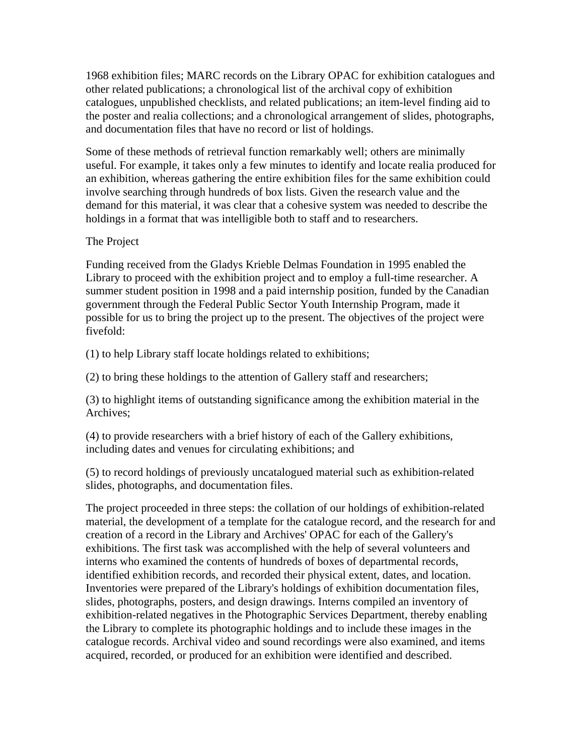1968 exhibition files; MARC records on the Library OPAC for exhibition catalogues and other related publications; a chronological list of the archival copy of exhibition catalogues, unpublished checklists, and related publications; an item-level finding aid to the poster and realia collections; and a chronological arrangement of slides, photographs, and documentation files that have no record or list of holdings.

Some of these methods of retrieval function remarkably well; others are minimally useful. For example, it takes only a few minutes to identify and locate realia produced for an exhibition, whereas gathering the entire exhibition files for the same exhibition could involve searching through hundreds of box lists. Given the research value and the demand for this material, it was clear that a cohesive system was needed to describe the holdings in a format that was intelligible both to staff and to researchers.

#### The Project

Funding received from the Gladys Krieble Delmas Foundation in 1995 enabled the Library to proceed with the exhibition project and to employ a full-time researcher. A summer student position in 1998 and a paid internship position, funded by the Canadian government through the Federal Public Sector Youth Internship Program, made it possible for us to bring the project up to the present. The objectives of the project were fivefold:

(1) to help Library staff locate holdings related to exhibitions;

(2) to bring these holdings to the attention of Gallery staff and researchers;

(3) to highlight items of outstanding significance among the exhibition material in the Archives;

(4) to provide researchers with a brief history of each of the Gallery exhibitions, including dates and venues for circulating exhibitions; and

(5) to record holdings of previously uncatalogued material such as exhibition-related slides, photographs, and documentation files.

The project proceeded in three steps: the collation of our holdings of exhibition-related material, the development of a template for the catalogue record, and the research for and creation of a record in the Library and Archives' OPAC for each of the Gallery's exhibitions. The first task was accomplished with the help of several volunteers and interns who examined the contents of hundreds of boxes of departmental records, identified exhibition records, and recorded their physical extent, dates, and location. Inventories were prepared of the Library's holdings of exhibition documentation files, slides, photographs, posters, and design drawings. Interns compiled an inventory of exhibition-related negatives in the Photographic Services Department, thereby enabling the Library to complete its photographic holdings and to include these images in the catalogue records. Archival video and sound recordings were also examined, and items acquired, recorded, or produced for an exhibition were identified and described.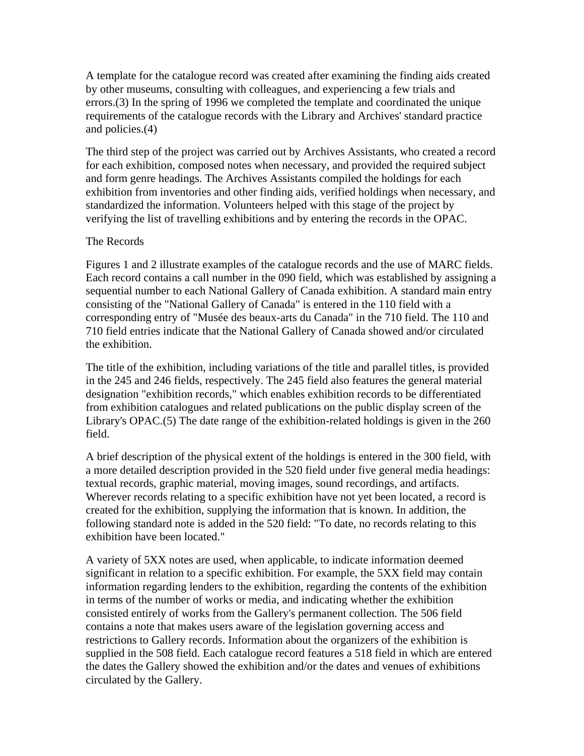A template for the catalogue record was created after examining the finding aids created by other museums, consulting with colleagues, and experiencing a few trials and errors.(3) In the spring of 1996 we completed the template and coordinated the unique requirements of the catalogue records with the Library and Archives' standard practice and policies.(4)

The third step of the project was carried out by Archives Assistants, who created a record for each exhibition, composed notes when necessary, and provided the required subject and form genre headings. The Archives Assistants compiled the holdings for each exhibition from inventories and other finding aids, verified holdings when necessary, and standardized the information. Volunteers helped with this stage of the project by verifying the list of travelling exhibitions and by entering the records in the OPAC.

#### The Records

Figures 1 and 2 illustrate examples of the catalogue records and the use of MARC fields. Each record contains a call number in the 090 field, which was established by assigning a sequential number to each National Gallery of Canada exhibition. A standard main entry consisting of the "National Gallery of Canada" is entered in the 110 field with a corresponding entry of "Musée des beaux-arts du Canada" in the 710 field. The 110 and 710 field entries indicate that the National Gallery of Canada showed and/or circulated the exhibition.

The title of the exhibition, including variations of the title and parallel titles, is provided in the 245 and 246 fields, respectively. The 245 field also features the general material designation "exhibition records," which enables exhibition records to be differentiated from exhibition catalogues and related publications on the public display screen of the Library's OPAC.(5) The date range of the exhibition-related holdings is given in the 260 field.

A brief description of the physical extent of the holdings is entered in the 300 field, with a more detailed description provided in the 520 field under five general media headings: textual records, graphic material, moving images, sound recordings, and artifacts. Wherever records relating to a specific exhibition have not yet been located, a record is created for the exhibition, supplying the information that is known. In addition, the following standard note is added in the 520 field: "To date, no records relating to this exhibition have been located."

A variety of 5XX notes are used, when applicable, to indicate information deemed significant in relation to a specific exhibition. For example, the 5XX field may contain information regarding lenders to the exhibition, regarding the contents of the exhibition in terms of the number of works or media, and indicating whether the exhibition consisted entirely of works from the Gallery's permanent collection. The 506 field contains a note that makes users aware of the legislation governing access and restrictions to Gallery records. Information about the organizers of the exhibition is supplied in the 508 field. Each catalogue record features a 518 field in which are entered the dates the Gallery showed the exhibition and/or the dates and venues of exhibitions circulated by the Gallery.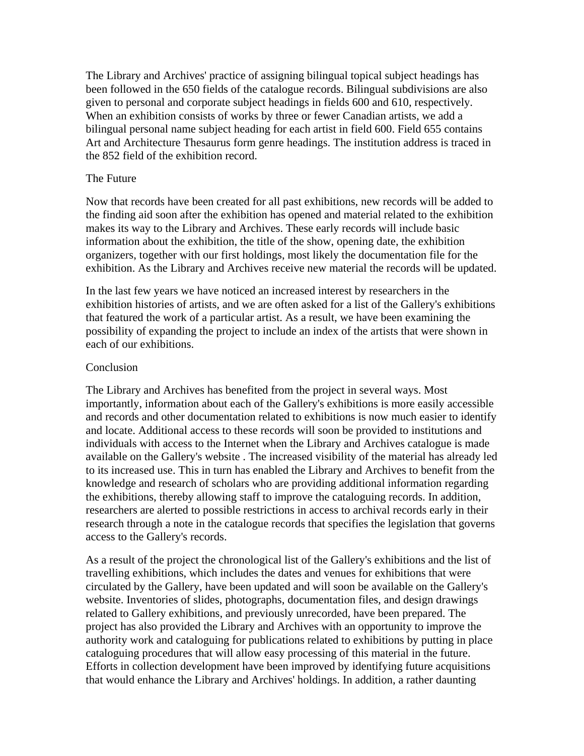The Library and Archives' practice of assigning bilingual topical subject headings has been followed in the 650 fields of the catalogue records. Bilingual subdivisions are also given to personal and corporate subject headings in fields 600 and 610, respectively. When an exhibition consists of works by three or fewer Canadian artists, we add a bilingual personal name subject heading for each artist in field 600. Field 655 contains Art and Architecture Thesaurus form genre headings. The institution address is traced in the 852 field of the exhibition record.

#### The Future

Now that records have been created for all past exhibitions, new records will be added to the finding aid soon after the exhibition has opened and material related to the exhibition makes its way to the Library and Archives. These early records will include basic information about the exhibition, the title of the show, opening date, the exhibition organizers, together with our first holdings, most likely the documentation file for the exhibition. As the Library and Archives receive new material the records will be updated.

In the last few years we have noticed an increased interest by researchers in the exhibition histories of artists, and we are often asked for a list of the Gallery's exhibitions that featured the work of a particular artist. As a result, we have been examining the possibility of expanding the project to include an index of the artists that were shown in each of our exhibitions.

#### Conclusion

The Library and Archives has benefited from the project in several ways. Most importantly, information about each of the Gallery's exhibitions is more easily accessible and records and other documentation related to exhibitions is now much easier to identify and locate. Additional access to these records will soon be provided to institutions and individuals with access to the Internet when the Library and Archives catalogue is made available on the Gallery's website . The increased visibility of the material has already led to its increased use. This in turn has enabled the Library and Archives to benefit from the knowledge and research of scholars who are providing additional information regarding the exhibitions, thereby allowing staff to improve the cataloguing records. In addition, researchers are alerted to possible restrictions in access to archival records early in their research through a note in the catalogue records that specifies the legislation that governs access to the Gallery's records.

As a result of the project the chronological list of the Gallery's exhibitions and the list of travelling exhibitions, which includes the dates and venues for exhibitions that were circulated by the Gallery, have been updated and will soon be available on the Gallery's website. Inventories of slides, photographs, documentation files, and design drawings related to Gallery exhibitions, and previously unrecorded, have been prepared. The project has also provided the Library and Archives with an opportunity to improve the authority work and cataloguing for publications related to exhibitions by putting in place cataloguing procedures that will allow easy processing of this material in the future. Efforts in collection development have been improved by identifying future acquisitions that would enhance the Library and Archives' holdings. In addition, a rather daunting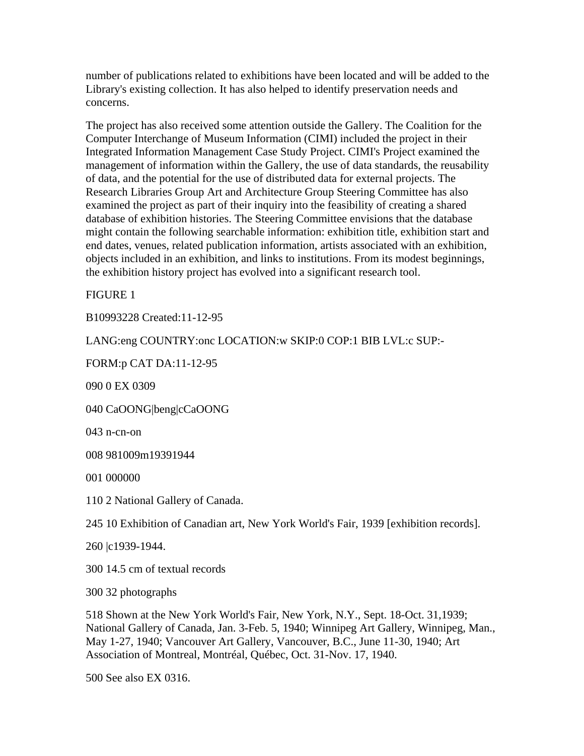number of publications related to exhibitions have been located and will be added to the Library's existing collection. It has also helped to identify preservation needs and concerns.

The project has also received some attention outside the Gallery. The Coalition for the Computer Interchange of Museum Information (CIMI) included the project in their Integrated Information Management Case Study Project. CIMI's Project examined the management of information within the Gallery, the use of data standards, the reusability of data, and the potential for the use of distributed data for external projects. The Research Libraries Group Art and Architecture Group Steering Committee has also examined the project as part of their inquiry into the feasibility of creating a shared database of exhibition histories. The Steering Committee envisions that the database might contain the following searchable information: exhibition title, exhibition start and end dates, venues, related publication information, artists associated with an exhibition, objects included in an exhibition, and links to institutions. From its modest beginnings, the exhibition history project has evolved into a significant research tool.

FIGURE 1

B10993228 Created:11-12-95

LANG:eng COUNTRY:onc LOCATION:w SKIP:0 COP:1 BIB LVL:c SUP:-

FORM:p CAT DA:11-12-95

090 0 EX 0309

040 CaOONG|beng|cCaOONG

043 n-cn-on

008 981009m19391944

001 000000

110 2 National Gallery of Canada.

245 10 Exhibition of Canadian art, New York World's Fair, 1939 [exhibition records].

260 |c1939-1944.

300 14.5 cm of textual records

300 32 photographs

518 Shown at the New York World's Fair, New York, N.Y., Sept. 18-Oct. 31,1939; National Gallery of Canada, Jan. 3-Feb. 5, 1940; Winnipeg Art Gallery, Winnipeg, Man., May 1-27, 1940; Vancouver Art Gallery, Vancouver, B.C., June 11-30, 1940; Art Association of Montreal, Montréal, Québec, Oct. 31-Nov. 17, 1940.

500 See also EX 0316.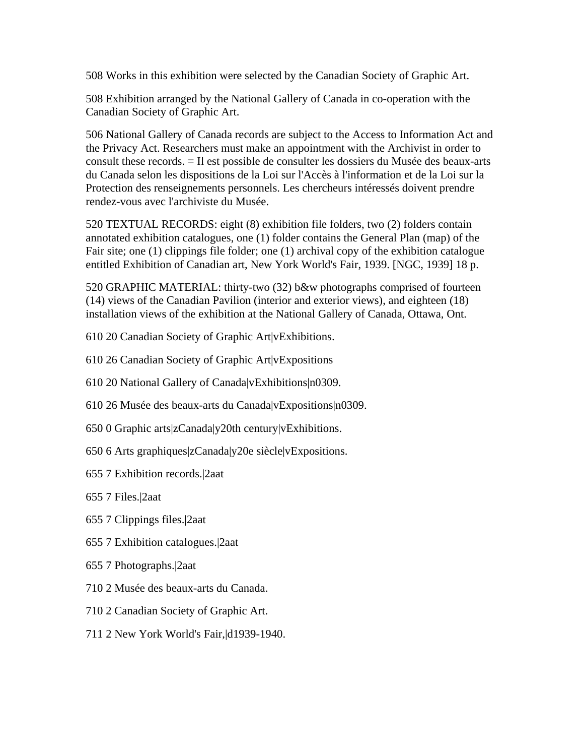508 Works in this exhibition were selected by the Canadian Society of Graphic Art.

508 Exhibition arranged by the National Gallery of Canada in co-operation with the Canadian Society of Graphic Art.

506 National Gallery of Canada records are subject to the Access to Information Act and the Privacy Act. Researchers must make an appointment with the Archivist in order to consult these records. = Il est possible de consulter les dossiers du Musée des beaux-arts du Canada selon les dispositions de la Loi sur l'Accès à l'information et de la Loi sur la Protection des renseignements personnels. Les chercheurs intéressés doivent prendre rendez-vous avec l'archiviste du Musée.

520 TEXTUAL RECORDS: eight (8) exhibition file folders, two (2) folders contain annotated exhibition catalogues, one (1) folder contains the General Plan (map) of the Fair site; one (1) clippings file folder; one (1) archival copy of the exhibition catalogue entitled Exhibition of Canadian art, New York World's Fair, 1939. [NGC, 1939] 18 p.

520 GRAPHIC MATERIAL: thirty-two (32) b&w photographs comprised of fourteen (14) views of the Canadian Pavilion (interior and exterior views), and eighteen (18) installation views of the exhibition at the National Gallery of Canada, Ottawa, Ont.

610 20 Canadian Society of Graphic Art|vExhibitions.

610 26 Canadian Society of Graphic Art|vExpositions

- 610 20 National Gallery of Canada|vExhibitions|n0309.
- 610 26 Musée des beaux-arts du Canada|vExpositions|n0309.
- 650 0 Graphic arts|zCanada|y20th century|vExhibitions.
- 650 6 Arts graphiques|zCanada|y20e siècle|vExpositions.
- 655 7 Exhibition records.|2aat
- 655 7 Files.|2aat
- 655 7 Clippings files.|2aat
- 655 7 Exhibition catalogues.|2aat
- 655 7 Photographs.|2aat
- 710 2 Musée des beaux-arts du Canada.
- 710 2 Canadian Society of Graphic Art.
- 711 2 New York World's Fair,|d1939-1940.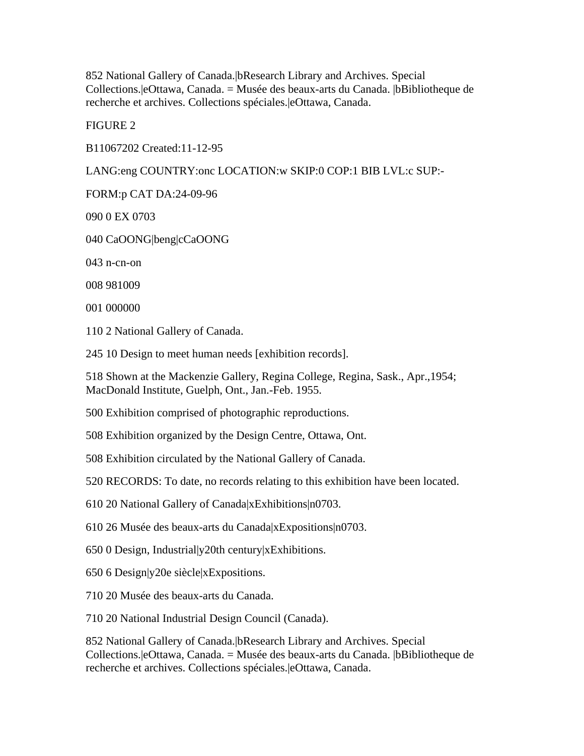852 National Gallery of Canada.|bResearch Library and Archives. Special Collections.|eOttawa, Canada. = Musée des beaux-arts du Canada. |bBibliotheque de recherche et archives. Collections spéciales.|eOttawa, Canada.

FIGURE 2

B11067202 Created:11-12-95

LANG:eng COUNTRY:onc LOCATION:w SKIP:0 COP:1 BIB LVL:c SUP:-

FORM:p CAT DA:24-09-96

090 0 EX 0703

040 CaOONG|beng|cCaOONG

043 n-cn-on

008 981009

001 000000

110 2 National Gallery of Canada.

245 10 Design to meet human needs [exhibition records].

518 Shown at the Mackenzie Gallery, Regina College, Regina, Sask., Apr.,1954; MacDonald Institute, Guelph, Ont., Jan.-Feb. 1955.

500 Exhibition comprised of photographic reproductions.

508 Exhibition organized by the Design Centre, Ottawa, Ont.

508 Exhibition circulated by the National Gallery of Canada.

520 RECORDS: To date, no records relating to this exhibition have been located.

610 20 National Gallery of Canada|xExhibitions|n0703.

610 26 Musée des beaux-arts du Canada|xExpositions|n0703.

650 0 Design, Industrial|y20th century|xExhibitions.

650 6 Design|y20e siècle|xExpositions.

710 20 Musée des beaux-arts du Canada.

710 20 National Industrial Design Council (Canada).

852 National Gallery of Canada.|bResearch Library and Archives. Special Collections.|eOttawa, Canada. = Musée des beaux-arts du Canada. |bBibliotheque de recherche et archives. Collections spéciales.|eOttawa, Canada.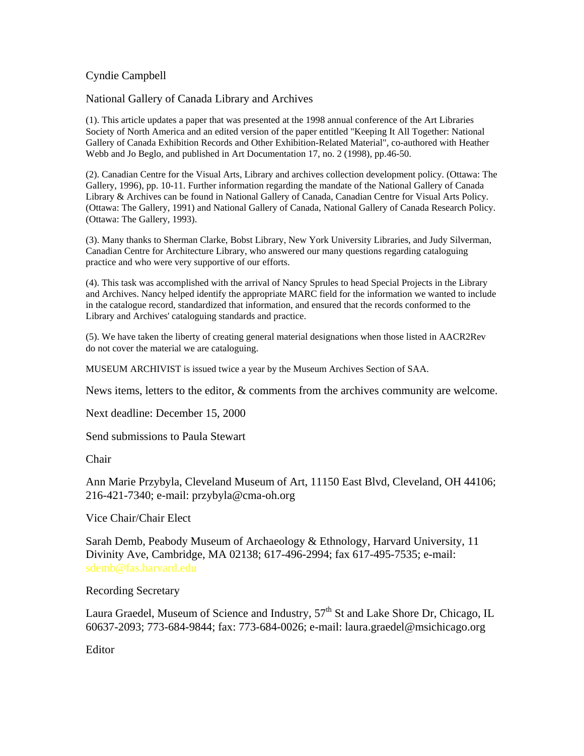### Cyndie Campbell

National Gallery of Canada Library and Archives

(1). This article updates a paper that was presented at the 1998 annual conference of the Art Libraries Society of North America and an edited version of the paper entitled "Keeping It All Together: National Gallery of Canada Exhibition Records and Other Exhibition-Related Material", co-authored with Heather Webb and Jo Beglo, and published in Art Documentation 17, no. 2 (1998), pp.46-50.

(2). Canadian Centre for the Visual Arts, Library and archives collection development policy. (Ottawa: The Gallery, 1996), pp. 10-11. Further information regarding the mandate of the National Gallery of Canada Library & Archives can be found in National Gallery of Canada, Canadian Centre for Visual Arts Policy. (Ottawa: The Gallery, 1991) and National Gallery of Canada, National Gallery of Canada Research Policy. (Ottawa: The Gallery, 1993).

(3). Many thanks to Sherman Clarke, Bobst Library, New York University Libraries, and Judy Silverman, Canadian Centre for Architecture Library, who answered our many questions regarding cataloguing practice and who were very supportive of our efforts.

(4). This task was accomplished with the arrival of Nancy Sprules to head Special Projects in the Library and Archives. Nancy helped identify the appropriate MARC field for the information we wanted to include in the catalogue record, standardized that information, and ensured that the records conformed to the Library and Archives' cataloguing standards and practice.

(5). We have taken the liberty of creating general material designations when those listed in AACR2Rev do not cover the material we are cataloguing.

MUSEUM ARCHIVIST is issued twice a year by the Museum Archives Section of SAA.

News items, letters to the editor, & comments from the archives community are welcome.

Next deadline: December 15, 2000

Send submissions to Paula Stewart

Chair

Ann Marie Przybyla, Cleveland Museum of Art, 11150 East Blvd, Cleveland, OH 44106; 216-421-7340; e-mail: przybyla@cma-oh.org

Vice Chair/Chair Elect

Sarah Demb, Peabody Museum of Archaeology & Ethnology, Harvard University, 11 Divinity Ave, Cambridge, MA 02138; 617-496-2994; fax 617-495-7535; e-mail:

Recording Secretary

Laura Graedel, Museum of Science and Industry,  $57<sup>th</sup>$  St and Lake Shore Dr, Chicago, IL 60637-2093; 773-684-9844; fax: 773-684-0026; e-mail: laura.graedel@msichicago.org

Editor